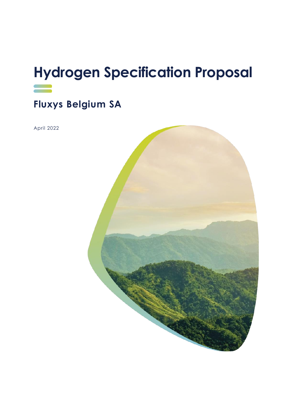# **Hydrogen Specification Proposal**

### **Fluxys Belgium SA**

April 2022

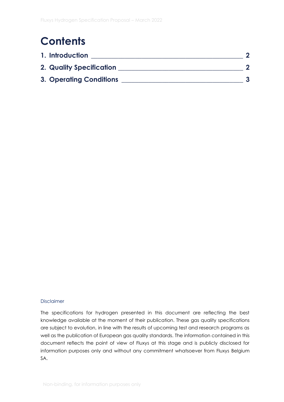## **Contents**

| 1. Introduction                 |  |
|---------------------------------|--|
| <b>2. Quality Specification</b> |  |
| <b>3. Operating Conditions</b>  |  |

#### Disclaimer

The specifications for hydrogen presented in this document are reflecting the best knowledge available at the moment of their publication. These gas quality specifications are subject to evolution, in line with the results of upcoming test and research programs as well as the publication of European gas quality standards. The information contained in this document reflects the point of view of Fluxys at this stage and is publicly disclosed for information purposes only and without any commitment whatsoever from Fluxys Belgium SA.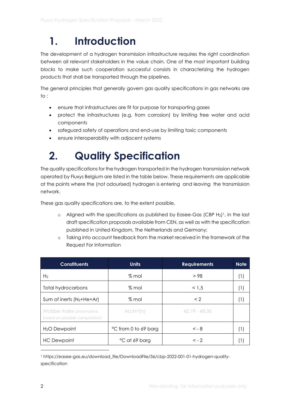## <span id="page-2-0"></span>**1. Introduction**

The development of a hydrogen transmission infrastructure requires the right coordination between all relevant stakeholders in the value chain. One of the most important building blocks to make such cooperation successful consists in characterizing the hydrogen products that shall be transported through the pipelines.

The general principles that generally govern gas quality specifications in gas networks are to :

- ensure that infrastructures are fit for purpose for transporting gases
- protect the infrastructures (e.g. from corrosion) by limiting free water and acid components
- safeguard safety of operations and end-use by limiting toxic components
- ensure interoperability with adjacent systems

## <span id="page-2-1"></span>**2. Quality Specification**

The quality specifications for the hydrogen transported in the hydrogen transmission network operated by Fluxys Belgium are listed in the table below. These requirements are applicable at the points where the (not odourised) hydrogen is entering and leaving the transmission network.

These gas quality specifications are, to the extent possible,

- $\circ$  Aligned with the specifications as published by Easee-Gas (CBP H<sub>2</sub>)<sup>1</sup>, in the last draft specification proposals available from CEN, as well as with the specification published in United Kingdom, The Netherlands and Germany;
- o Taking into account feedback from the market received in the framework of the Request For Information

| <b>Constituents</b>                                         | <b>Units</b>         | <b>Requirements</b> | <b>Note</b> |
|-------------------------------------------------------------|----------------------|---------------------|-------------|
| H <sub>2</sub>                                              | $%$ mol              | > 98                | H.          |
| <b>Total hydrocarbons</b>                                   | % mol                | < 1.5               | H)          |
| Sum of inerts $(N_2+He+Ar)$                                 | $%$ mol              | $\langle$ 2         | H.          |
| Wobbe Index (informative,<br>based on possible composition) | $MJ/m^3(n)$          | $42.19 - 48.36$     |             |
| H <sub>2</sub> O Dewpoint                                   | °C from 0 to 69 barg | $< -8$              | н.          |
| <b>HC</b> Dewpoint                                          | °C at 69 barg        | $\lt -2$            |             |

<sup>1</sup> https://easee-gas.eu/download\_file/DownloadFile/36/cbp-2022-001-01-hydrogen-qualityspecification